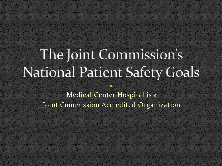# The Joint Commission's **National Patient Safety Goals**

Medical Center Hospital is a Joint Commission Accredited Organization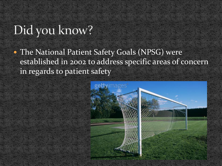### Did you know?

• The National Patient Safety Goals (NPSG) were established in 2002 to address specific areas of concern in regards to patient safety

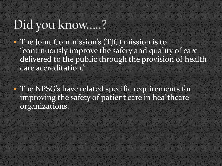## Did you know.....?

• The Joint Commission's (TJC) mission is to "continuously improve the safety and quality of care delivered to the public through the provision of health care accreditation."

 The NPSG's have related specific requirements for improving the safety of patient care in healthcare organizations.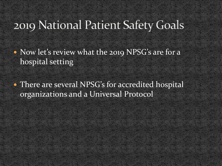#### 2019 National Patient Safety Goals

• Now let's review what the 2019 NPSG's are for a hospital setting

• There are several NPSG's for accredited hospital organizations and a Universal Protocol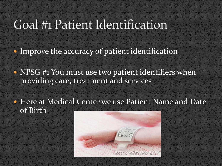#### Goal #1 Patient Identification

• Improve the accuracy of patient identification

• NPSG #1 You must use two patient identifiers when providing care, treatment and services

 Here at Medical Center we use Patient Name and Date of Birth

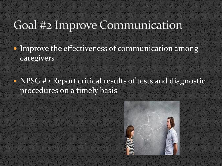#### Goal #2 Improve Communication

• Improve the effectiveness of communication among caregivers

• NPSG #2 Report critical results of tests and diagnostic procedures on a timely basis

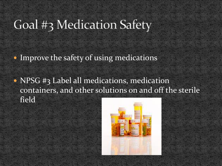## Goal #3 Medication Safety

• Improve the safety of using medications

• NPSG #3 Label all medications, medication containers, and other solutions on and off the sterile field

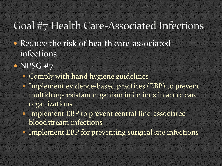#### Goal #7 Health Care-Associated Infections

- Reduce the risk of health care-associated infections
- NPSG #7
	- Comply with hand hygiene guidelines
	- Implement evidence-based practices (EBP) to prevent multidrug-resistant organism infections in acute care organizations
	- Implement EBP to prevent central line-associated bloodstream infections
	- Implement EBP for preventing surgical site infections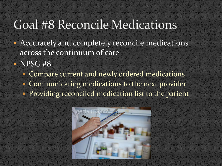#### Goal #8 Reconcile Medications

- Accurately and completely reconcile medications across the continuum of care
- NPSG #8
	- Compare current and newly ordered medications
	- Communicating medications to the next provider
	- Providing reconciled medication list to the patient

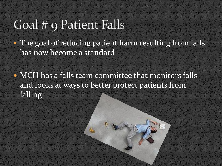#### Goal # 9 Patient Falls

• The goal of reducing patient harm resulting from falls has now become a standard

 MCH has a falls team committee that monitors falls and looks at ways to better protect patients from falling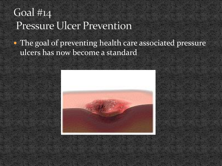#### Goal  $\#$ 14 Pressure Ulcer Prevention

#### • The goal of preventing health care associated pressure ulcers has now become a standard

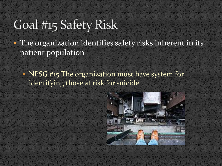### Goal #15 Safety Risk

• The organization identifies safety risks inherent in its patient population

• NPSG #15 The organization must have system for identifying those at risk for suicide

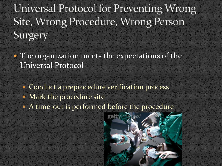Universal Protocol for Preventing Wrong Site, Wrong Procedure, Wrong Person Surgery

• The organization meets the expectations of the Universal Protocol

• Conduct a preprocedure verification process

- Mark the procedure site
- A time-out is performed before the procedure

gettyimages®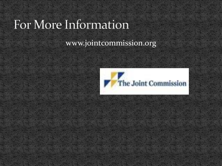#### For More Information

#### www.jointcommission.org

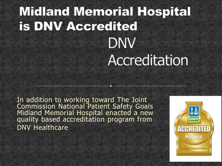# **Midland Memorial Hospital** is DNV Accredited DNV Accreditation

In addition to working toward The Joint Commission National Patient Safety Goals Midland Memorial Hospital enacted a new quality based accreditation program from DNV Healthcare